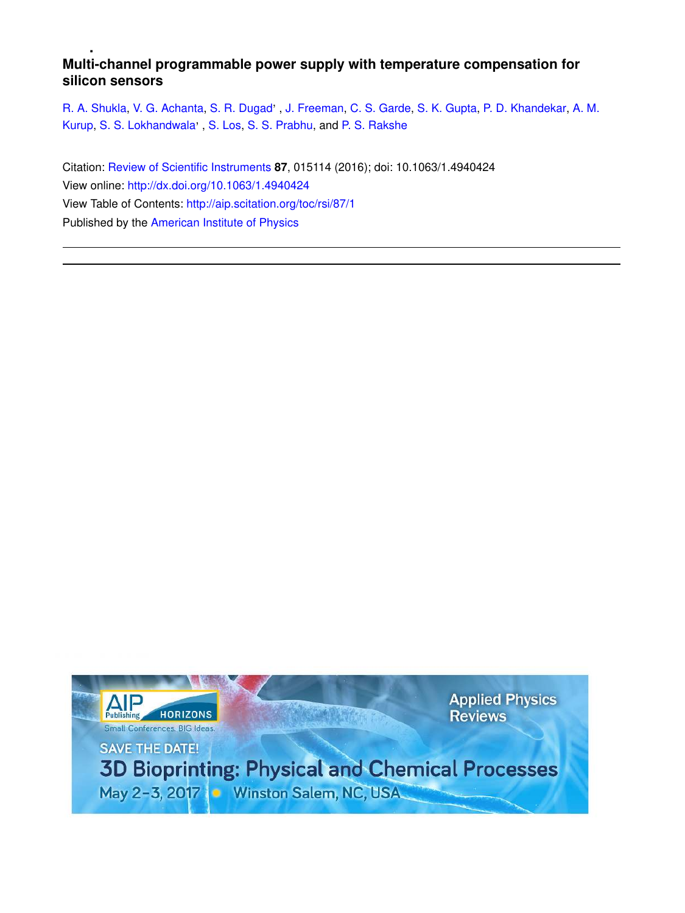# **Multi-channel programmable power supply with temperature compensation for silicon sensors**

R. A. Shukla, V. G. Achanta, S. R. Dugad', J. Freeman, C. S. Garde, S. K. Gupta, P. D. Khandekar, A. M. Kurup, S. S. Lokhandwala', S. Los, S. S. Prabhu, and P. S. Rakshe

Citation: Review of Scientific Instruments **87**, 015114 (2016); doi: 10.1063/1.4940424 View online: http://dx.doi.org/10.1063/1.4940424 View Table of Contents: http://aip.scitation.org/toc/rsi/87/1 Published by the American Institute of Physics

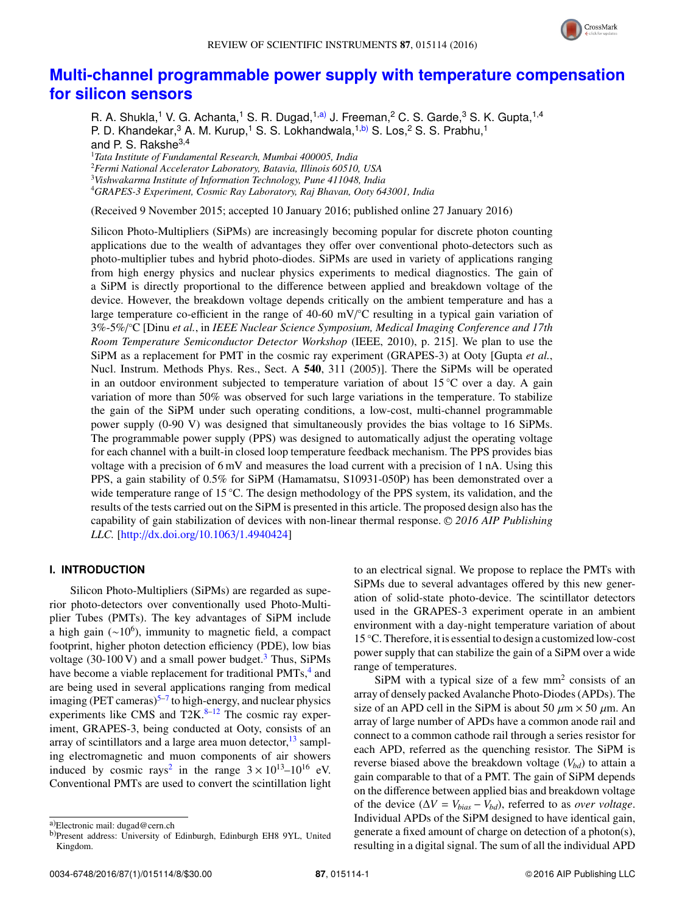

# **Multi-channel programmable power supply with temperature compensation for silicon sensors**

R. A. Shukla,<sup>1</sup> V. G. Achanta,<sup>1</sup> S. R. Dugad,<sup>1,a)</sup> J. Freeman,<sup>2</sup> C. S. Garde,<sup>3</sup> S. K. Gupta,<sup>1,4</sup> P. D. Khandekar,  $3$  A. M. Kurup,  $1$  S. S. Lokhandwala,  $1, b$ ) S. Los,  $2$  S. S. Prabhu,  $1$ and P. S. Rakshe<sup>3,4</sup> <sup>1</sup>*Tata Institute of Fundamental Research, Mumbai 400005, India*

<sup>2</sup>*Fermi National Accelerator Laboratory, Batavia, Illinois 60510, USA* <sup>3</sup>*Vishwakarma Institute of Information Technology, Pune 411048, India*

<sup>4</sup>*GRAPES-3 Experiment, Cosmic Ray Laboratory, Raj Bhavan, Ooty 643001, India*

(Received 9 November 2015; accepted 10 January 2016; published online 27 January 2016)

Silicon Photo-Multipliers (SiPMs) are increasingly becoming popular for discrete photon counting applications due to the wealth of advantages they offer over conventional photo-detectors such as photo-multiplier tubes and hybrid photo-diodes. SiPMs are used in variety of applications ranging from high energy physics and nuclear physics experiments to medical diagnostics. The gain of a SiPM is directly proportional to the difference between applied and breakdown voltage of the device. However, the breakdown voltage depends critically on the ambient temperature and has a large temperature co-efficient in the range of 40-60 mV/ $\degree$ C resulting in a typical gain variation of 3%-5%/ ◦C [Dinu *et al.*, in *IEEE Nuclear Science Symposium, Medical Imaging Conference and 17th Room Temperature Semiconductor Detector Workshop* (IEEE, 2010), p. 215]. We plan to use the SiPM as a replacement for PMT in the cosmic ray experiment (GRAPES-3) at Ooty [Gupta *et al.*, Nucl. Instrum. Methods Phys. Res., Sect. A 540, 311 (2005)]. There the SiPMs will be operated in an outdoor environment subjected to temperature variation of about 15 °C over a day. A gain variation of more than 50% was observed for such large variations in the temperature. To stabilize the gain of the SiPM under such operating conditions, a low-cost, multi-channel programmable power supply (0-90 V) was designed that simultaneously provides the bias voltage to 16 SiPMs. The programmable power supply (PPS) was designed to automatically adjust the operating voltage for each channel with a built-in closed loop temperature feedback mechanism. The PPS provides bias voltage with a precision of 6 mV and measures the load current with a precision of 1 nA. Using this PPS, a gain stability of 0.5% for SiPM (Hamamatsu, S10931-050P) has been demonstrated over a wide temperature range of 15 ◦C. The design methodology of the PPS system, its validation, and the results of the tests carried out on the SiPM is presented in this article. The proposed design also has the capability of gain stabilization of devices with non-linear thermal response. <sup>C</sup> *2016 AIP Publishing LLC.* [http://dx.doi.org/10.1063/1.4940424]

# **I. INTRODUCTION**

Silicon Photo-Multipliers (SiPMs) are regarded as superior photo-detectors over conventionally used Photo-Multiplier Tubes (PMTs). The key advantages of SiPM include a high gain ( $\sim$ 10<sup>6</sup>), immunity to magnetic field, a compact footprint, higher photon detection efficiency (PDE), low bias voltage (30-100 V) and a small power budget.<sup>3</sup> Thus, SiPMs have become a viable replacement for traditional PMTs,<sup>4</sup> and are being used in several applications ranging from medical imaging (PET cameras)<sup>5-7</sup> to high-energy, and nuclear physics experiments like CMS and  $T2K$ .<sup>8–12</sup> The cosmic ray experiment, GRAPES-3, being conducted at Ooty, consists of an array of scintillators and a large area muon detector,  $13 \text{ sampl}$ ing electromagnetic and muon components of air showers induced by cosmic rays<sup>2</sup> in the range  $3 \times 10^{13}$ – $10^{16}$  eV. Conventional PMTs are used to convert the scintillation light to an electrical signal. We propose to replace the PMTs with SiPMs due to several advantages offered by this new generation of solid-state photo-device. The scintillator detectors used in the GRAPES-3 experiment operate in an ambient environment with a day-night temperature variation of about 15 ◦C. Therefore, it is essential to design a customized low-cost power supply that can stabilize the gain of a SiPM over a wide range of temperatures.

SiPM with a typical size of a few  $mm<sup>2</sup>$  consists of an array of densely packed Avalanche Photo-Diodes (APDs). The size of an APD cell in the SiPM is about 50  $\mu$ m × 50  $\mu$ m. An array of large number of APDs have a common anode rail and connect to a common cathode rail through a series resistor for each APD, referred as the quenching resistor. The SiPM is reverse biased above the breakdown voltage  $(V_{bd})$  to attain a gain comparable to that of a PMT. The gain of SiPM depends on the difference between applied bias and breakdown voltage of the device ( $\Delta V = V_{bias} - V_{bd}$ ), referred to as *over voltage*. Individual APDs of the SiPM designed to have identical gain, generate a fixed amount of charge on detection of a photon(s), resulting in a digital signal. The sum of all the individual APD

a)Electronic mail: dugad@cern.ch

b)Present address: University of Edinburgh, Edinburgh EH8 9YL, United Kingdom.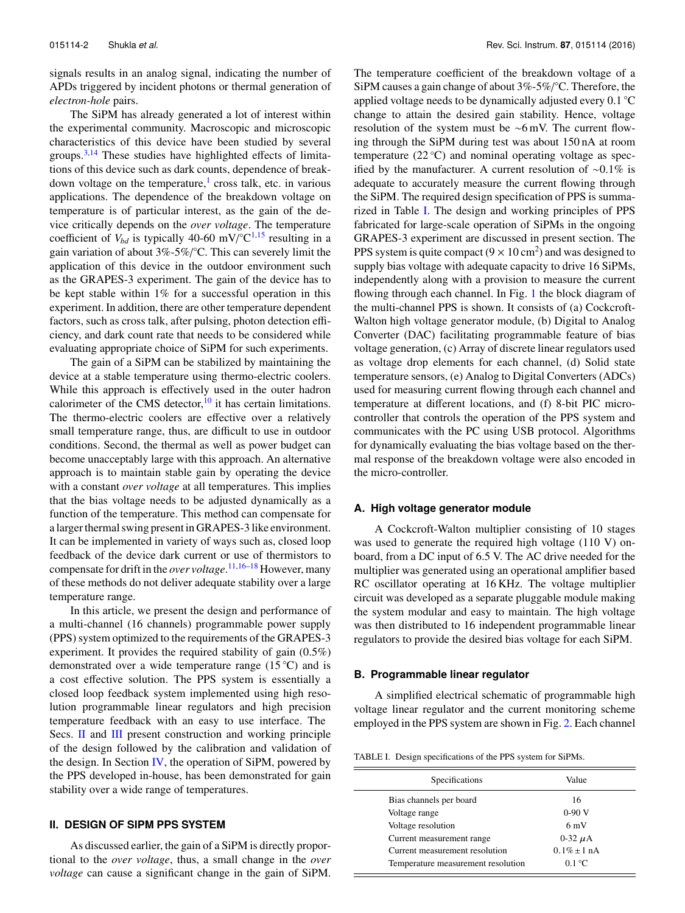signals results in an analog signal, indicating the number of APDs triggered by incident photons or thermal generation of *electron-hole* pairs.

The SiPM has already generated a lot of interest within the experimental community. Macroscopic and microscopic characteristics of this device have been studied by several groups. $3,14$  These studies have highlighted effects of limitations of this device such as dark counts, dependence of breakdown voltage on the temperature,<sup>1</sup> cross talk, etc. in various applications. The dependence of the breakdown voltage on temperature is of particular interest, as the gain of the device critically depends on the *over voltage*. The temperature coefficient of  $V_{bd}$  is typically 40-60 mV/ $\mathrm{°C}^{1,15}$  resulting in a gain variation of about 3%-5%/°C. This can severely limit the application of this device in the outdoor environment such as the GRAPES-3 experiment. The gain of the device has to be kept stable within 1% for a successful operation in this experiment. In addition, there are other temperature dependent factors, such as cross talk, after pulsing, photon detection efficiency, and dark count rate that needs to be considered while evaluating appropriate choice of SiPM for such experiments.

The gain of a SiPM can be stabilized by maintaining the device at a stable temperature using thermo-electric coolers. While this approach is effectively used in the outer hadron calorimeter of the CMS detector,  $^{10}$  it has certain limitations. The thermo-electric coolers are effective over a relatively small temperature range, thus, are difficult to use in outdoor conditions. Second, the thermal as well as power budget can become unacceptably large with this approach. An alternative approach is to maintain stable gain by operating the device with a constant *over voltage* at all temperatures. This implies that the bias voltage needs to be adjusted dynamically as a function of the temperature. This method can compensate for a larger thermal swing present in GRAPES-3 like environment. It can be implemented in variety of ways such as, closed loop feedback of the device dark current or use of thermistors to compensate for drift in the *over voltage*. 11,16–18 However, many of these methods do not deliver adequate stability over a large temperature range.

In this article, we present the design and performance of a multi-channel (16 channels) programmable power supply (PPS) system optimized to the requirements of the GRAPES-3 experiment. It provides the required stability of gain (0.5%) demonstrated over a wide temperature range  $(15 \degree C)$  and is a cost effective solution. The PPS system is essentially a closed loop feedback system implemented using high resolution programmable linear regulators and high precision temperature feedback with an easy to use interface. The Secs. II and III present construction and working principle of the design followed by the calibration and validation of the design. In Section  $IV$ , the operation of SiPM, powered by the PPS developed in-house, has been demonstrated for gain stability over a wide range of temperatures.

# **II. DESIGN OF SIPM PPS SYSTEM**

As discussed earlier, the gain of a SiPM is directly proportional to the *over voltage*, thus, a small change in the *over voltage* can cause a significant change in the gain of SiPM.

The temperature coefficient of the breakdown voltage of a SiPM causes a gain change of about 3%-5%/°C. Therefore, the applied voltage needs to be dynamically adjusted every 0.1 ◦C change to attain the desired gain stability. Hence, voltage resolution of the system must be ∼6 mV. The current flowing through the SiPM during test was about 150 nA at room temperature  $(22 \degree C)$  and nominal operating voltage as specified by the manufacturer. A current resolution of ∼0.1% is adequate to accurately measure the current flowing through the SiPM. The required design specification of PPS is summarized in Table I. The design and working principles of PPS fabricated for large-scale operation of SiPMs in the ongoing GRAPES-3 experiment are discussed in present section. The PPS system is quite compact  $(9 \times 10 \text{ cm}^2)$  and was designed to supply bias voltage with adequate capacity to drive 16 SiPMs, independently along with a provision to measure the current flowing through each channel. In Fig. 1 the block diagram of the multi-channel PPS is shown. It consists of (a) Cockcroft-Walton high voltage generator module, (b) Digital to Analog Converter (DAC) facilitating programmable feature of bias voltage generation, (c) Array of discrete linear regulators used as voltage drop elements for each channel, (d) Solid state temperature sensors, (e) Analog to Digital Converters (ADCs) used for measuring current flowing through each channel and temperature at different locations, and (f) 8-bit PIC microcontroller that controls the operation of the PPS system and communicates with the PC using USB protocol. Algorithms for dynamically evaluating the bias voltage based on the thermal response of the breakdown voltage were also encoded in the micro-controller.

### **A. High voltage generator module**

A Cockcroft-Walton multiplier consisting of 10 stages was used to generate the required high voltage (110 V) onboard, from a DC input of 6.5 V. The AC drive needed for the multiplier was generated using an operational amplifier based RC oscillator operating at 16 KHz. The voltage multiplier circuit was developed as a separate pluggable module making the system modular and easy to maintain. The high voltage was then distributed to 16 independent programmable linear regulators to provide the desired bias voltage for each SiPM.

#### **B. Programmable linear regulator**

A simplified electrical schematic of programmable high voltage linear regulator and the current monitoring scheme employed in the PPS system are shown in Fig. 2. Each channel

TABLE I. Design specifications of the PPS system for SiPMs.

| Specifications                     | Value            |
|------------------------------------|------------------|
| Bias channels per board            | 16               |
| Voltage range                      | $0-90V$          |
| Voltage resolution                 | 6mV              |
| Current measurement range          | $0-32 \mu A$     |
| Current measurement resolution     | $0.1\% \pm 1$ nA |
| Temperature measurement resolution | $0.1\degree C$   |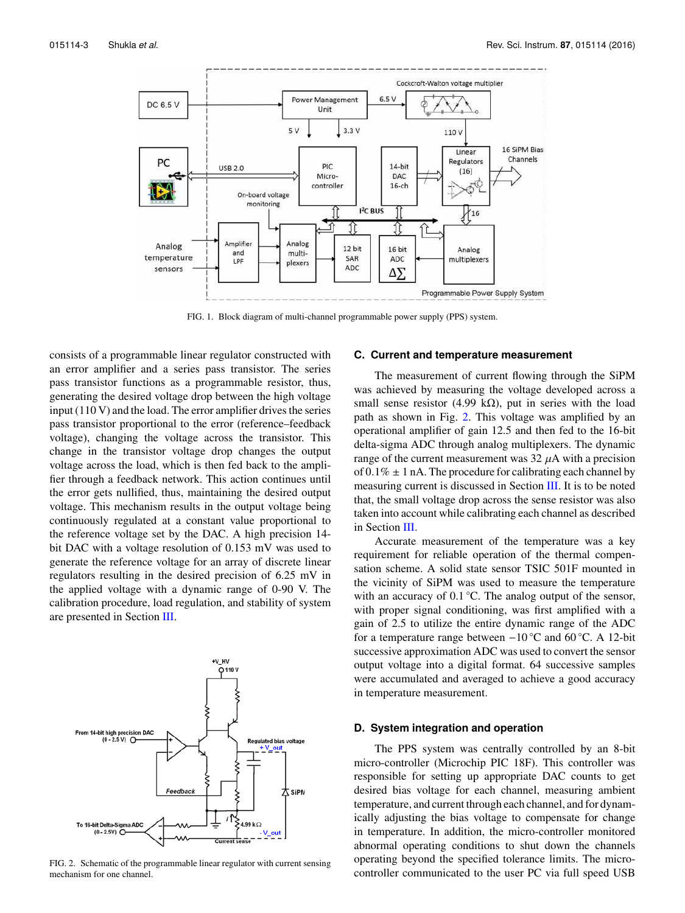

FIG. 1. Block diagram of multi-channel programmable power supply (PPS) system.

consists of a programmable linear regulator constructed with an error amplifier and a series pass transistor. The series pass transistor functions as a programmable resistor, thus, generating the desired voltage drop between the high voltage input (110 V) and the load. The error amplifier drives the series pass transistor proportional to the error (reference–feedback voltage), changing the voltage across the transistor. This change in the transistor voltage drop changes the output voltage across the load, which is then fed back to the amplifier through a feedback network. This action continues until the error gets nullified, thus, maintaining the desired output voltage. This mechanism results in the output voltage being continuously regulated at a constant value proportional to the reference voltage set by the DAC. A high precision 14 bit DAC with a voltage resolution of 0.153 mV was used to generate the reference voltage for an array of discrete linear regulators resulting in the desired precision of 6.25 mV in the applied voltage with a dynamic range of 0-90 V. The calibration procedure, load regulation, and stability of system are presented in Section III.



FIG. 2. Schematic of the programmable linear regulator with current sensing mechanism for one channel.

#### **C. Current and temperature measurement**

The measurement of current flowing through the SiPM was achieved by measuring the voltage developed across a small sense resistor (4.99 kΩ), put in series with the load path as shown in Fig. 2. This voltage was amplified by an operational amplifier of gain 12.5 and then fed to the 16-bit delta-sigma ADC through analog multiplexers. The dynamic range of the current measurement was  $32 \mu A$  with a precision of  $0.1\% \pm 1$  nA. The procedure for calibrating each channel by measuring current is discussed in Section III. It is to be noted that, the small voltage drop across the sense resistor was also taken into account while calibrating each channel as described in Section III.

Accurate measurement of the temperature was a key requirement for reliable operation of the thermal compensation scheme. A solid state sensor TSIC 501F mounted in the vicinity of SiPM was used to measure the temperature with an accuracy of 0.1 ℃. The analog output of the sensor, with proper signal conditioning, was first amplified with a gain of 2.5 to utilize the entire dynamic range of the ADC for a temperature range between −10 ◦C and 60 ◦C. A 12-bit successive approximation ADC was used to convert the sensor output voltage into a digital format. 64 successive samples were accumulated and averaged to achieve a good accuracy in temperature measurement.

#### **D. System integration and operation**

The PPS system was centrally controlled by an 8-bit micro-controller (Microchip PIC 18F). This controller was responsible for setting up appropriate DAC counts to get desired bias voltage for each channel, measuring ambient temperature, and current through each channel, and for dynamically adjusting the bias voltage to compensate for change in temperature. In addition, the micro-controller monitored abnormal operating conditions to shut down the channels operating beyond the specified tolerance limits. The microcontroller communicated to the user PC via full speed USB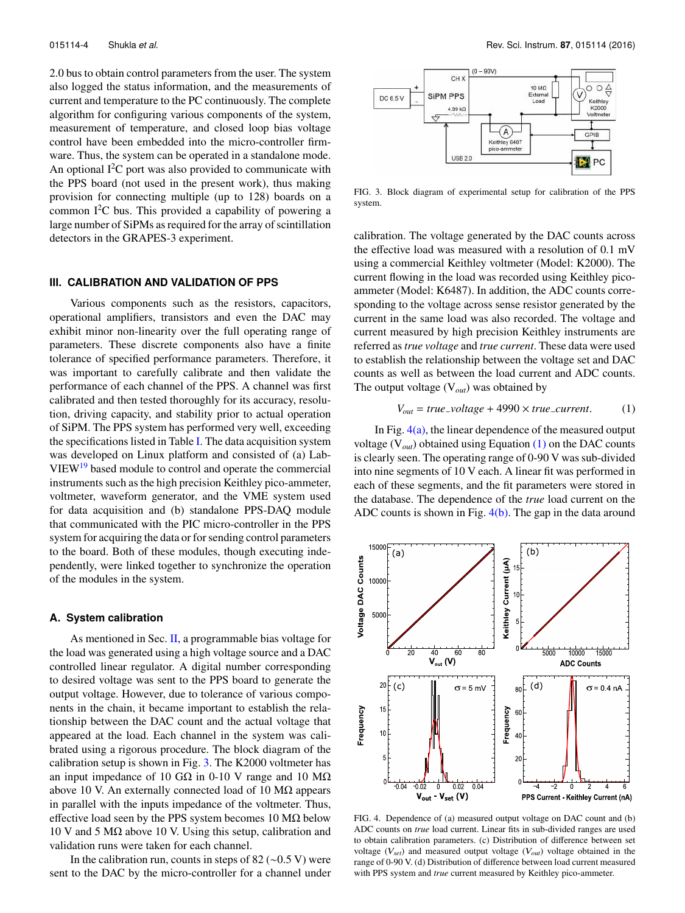2.0 bus to obtain control parameters from the user. The system also logged the status information, and the measurements of current and temperature to the PC continuously. The complete algorithm for configuring various components of the system, measurement of temperature, and closed loop bias voltage control have been embedded into the micro-controller firmware. Thus, the system can be operated in a standalone mode. An optional  $I^2C$  port was also provided to communicate with the PPS board (not used in the present work), thus making provision for connecting multiple (up to 128) boards on a common  $I<sup>2</sup>C$  bus. This provided a capability of powering a large number of SiPMs as required for the array of scintillation detectors in the GRAPES-3 experiment.

#### **III. CALIBRATION AND VALIDATION OF PPS**

Various components such as the resistors, capacitors, operational amplifiers, transistors and even the DAC may exhibit minor non-linearity over the full operating range of parameters. These discrete components also have a finite tolerance of specified performance parameters. Therefore, it was important to carefully calibrate and then validate the performance of each channel of the PPS. A channel was first calibrated and then tested thoroughly for its accuracy, resolution, driving capacity, and stability prior to actual operation of SiPM. The PPS system has performed very well, exceeding the specifications listed in Table I. The data acquisition system was developed on Linux platform and consisted of (a) Lab-VIEW<sup>19</sup> based module to control and operate the commercial instruments such as the high precision Keithley pico-ammeter, voltmeter, waveform generator, and the VME system used for data acquisition and (b) standalone PPS-DAQ module that communicated with the PIC micro-controller in the PPS system for acquiring the data or for sending control parameters to the board. Both of these modules, though executing independently, were linked together to synchronize the operation of the modules in the system.

## **A. System calibration**

As mentioned in Sec.  $\Pi$ , a programmable bias voltage for the load was generated using a high voltage source and a DAC controlled linear regulator. A digital number corresponding to desired voltage was sent to the PPS board to generate the output voltage. However, due to tolerance of various components in the chain, it became important to establish the relationship between the DAC count and the actual voltage that appeared at the load. Each channel in the system was calibrated using a rigorous procedure. The block diagram of the calibration setup is shown in Fig. 3. The K2000 voltmeter has an input impedance of 10 GΩ in 0-10 V range and 10  $MΩ$ above 10 V. An externally connected load of 10  $MΩ$  appears in parallel with the inputs impedance of the voltmeter. Thus, effective load seen by the PPS system becomes  $10 M\Omega$  below 10 V and 5 MΩ above 10 V. Using this setup, calibration and validation runs were taken for each channel.

In the calibration run, counts in steps of 82 ( $\sim$ 0.5 V) were sent to the DAC by the micro-controller for a channel under



FIG. 3. Block diagram of experimental setup for calibration of the PPS system.

calibration. The voltage generated by the DAC counts across the effective load was measured with a resolution of 0.1 mV using a commercial Keithley voltmeter (Model: K2000). The current flowing in the load was recorded using Keithley picoammeter (Model: K6487). In addition, the ADC counts corresponding to the voltage across sense resistor generated by the current in the same load was also recorded. The voltage and current measured by high precision Keithley instruments are referred as*true voltage* and *true current*. These data were used to establish the relationship between the voltage set and DAC counts as well as between the load current and ADC counts. The output voltage (V*out*) was obtained by

$$
V_{out} = true\_voltage + 4990 \times true\_current.
$$
 (1)

In Fig.  $4(a)$ , the linear dependence of the measured output voltage (V*out*) obtained using Equation (1) on the DAC counts is clearly seen. The operating range of 0-90 V was sub-divided into nine segments of 10 V each. A linear fit was performed in each of these segments, and the fit parameters were stored in the database. The dependence of the *true* load current on the ADC counts is shown in Fig. 4(b). The gap in the data around



FIG. 4. Dependence of (a) measured output voltage on DAC count and (b) ADC counts on *true* load current. Linear fits in sub-divided ranges are used to obtain calibration parameters. (c) Distribution of difference between set voltage (V*set*) and measured output voltage (V*out*) voltage obtained in the range of 0-90 V. (d) Distribution of difference between load current measured with PPS system and *true* current measured by Keithley pico-ammeter.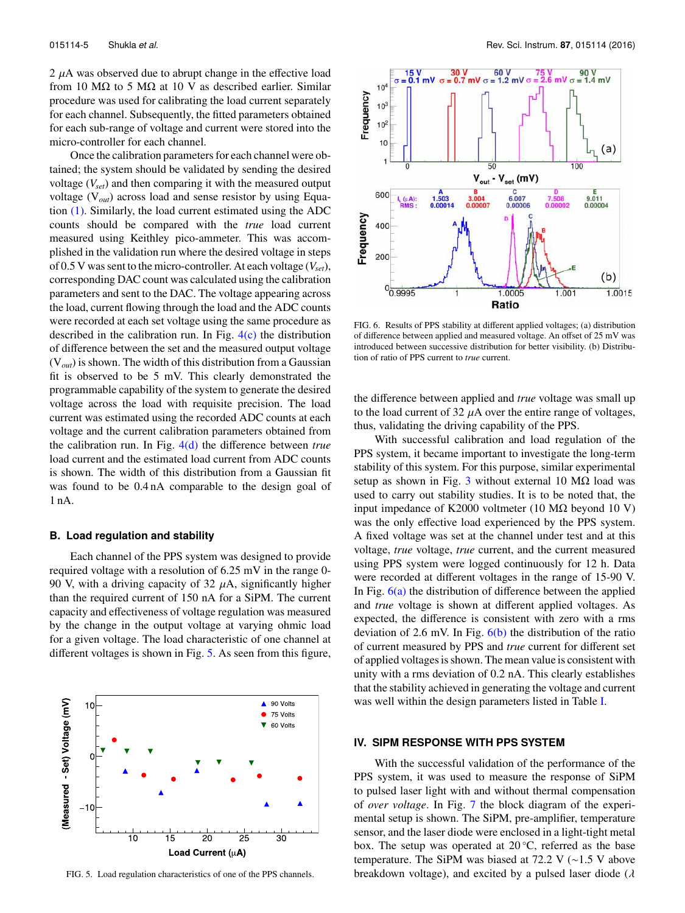2  $\mu$ A was observed due to abrupt change in the effective load from 10 M $\Omega$  to 5 M $\Omega$  at 10 V as described earlier. Similar procedure was used for calibrating the load current separately for each channel. Subsequently, the fitted parameters obtained for each sub-range of voltage and current were stored into the micro-controller for each channel.

Once the calibration parameters for each channel were obtained; the system should be validated by sending the desired voltage (*Vset*) and then comparing it with the measured output voltage (V*out*) across load and sense resistor by using Equation (1). Similarly, the load current estimated using the ADC counts should be compared with the *true* load current measured using Keithley pico-ammeter. This was accomplished in the validation run where the desired voltage in steps of 0.5 V was sent to the micro-controller. At each voltage (*Vset*), corresponding DAC count was calculated using the calibration parameters and sent to the DAC. The voltage appearing across the load, current flowing through the load and the ADC counts were recorded at each set voltage using the same procedure as described in the calibration run. In Fig.  $4(c)$  the distribution of difference between the set and the measured output voltage (V*out*) is shown. The width of this distribution from a Gaussian fit is observed to be 5 mV. This clearly demonstrated the programmable capability of the system to generate the desired voltage across the load with requisite precision. The load current was estimated using the recorded ADC counts at each voltage and the current calibration parameters obtained from the calibration run. In Fig. 4(d) the difference between *true* load current and the estimated load current from ADC counts is shown. The width of this distribution from a Gaussian fit was found to be 0.4 nA comparable to the design goal of 1 nA.

#### **B. Load regulation and stability**

Each channel of the PPS system was designed to provide required voltage with a resolution of 6.25 mV in the range 0- 90 V, with a driving capacity of 32  $\mu$ A, significantly higher than the required current of 150 nA for a SiPM. The current capacity and effectiveness of voltage regulation was measured by the change in the output voltage at varying ohmic load for a given voltage. The load characteristic of one channel at different voltages is shown in Fig. 5. As seen from this figure,



FIG. 5. Load regulation characteristics of one of the PPS channels.



FIG. 6. Results of PPS stability at different applied voltages; (a) distribution of difference between applied and measured voltage. An offset of 25 mV was introduced between successive distribution for better visibility. (b) Distribution of ratio of PPS current to *true* current.

the difference between applied and *true* voltage was small up to the load current of 32  $\mu$ A over the entire range of voltages, thus, validating the driving capability of the PPS.

With successful calibration and load regulation of the PPS system, it became important to investigate the long-term stability of this system. For this purpose, similar experimental setup as shown in Fig. 3 without external 10  $\text{M}\Omega$  load was used to carry out stability studies. It is to be noted that, the input impedance of K2000 voltmeter (10 MΩ beyond 10 V) was the only effective load experienced by the PPS system. A fixed voltage was set at the channel under test and at this voltage, *true* voltage, *true* current, and the current measured using PPS system were logged continuously for 12 h. Data were recorded at different voltages in the range of 15-90 V. In Fig.  $6(a)$  the distribution of difference between the applied and *true* voltage is shown at different applied voltages. As expected, the difference is consistent with zero with a rms deviation of 2.6 mV. In Fig.  $6(b)$  the distribution of the ratio of current measured by PPS and *true* current for different set of applied voltages is shown. The mean value is consistent with unity with a rms deviation of 0.2 nA. This clearly establishes that the stability achieved in generating the voltage and current was well within the design parameters listed in Table I.

#### **IV. SIPM RESPONSE WITH PPS SYSTEM**

With the successful validation of the performance of the PPS system, it was used to measure the response of SiPM to pulsed laser light with and without thermal compensation of *over voltage*. In Fig. 7 the block diagram of the experimental setup is shown. The SiPM, pre-amplifier, temperature sensor, and the laser diode were enclosed in a light-tight metal box. The setup was operated at 20 ◦C, referred as the base temperature. The SiPM was biased at 72.2 V (∼1.5 V above breakdown voltage), and excited by a pulsed laser diode ( $\lambda$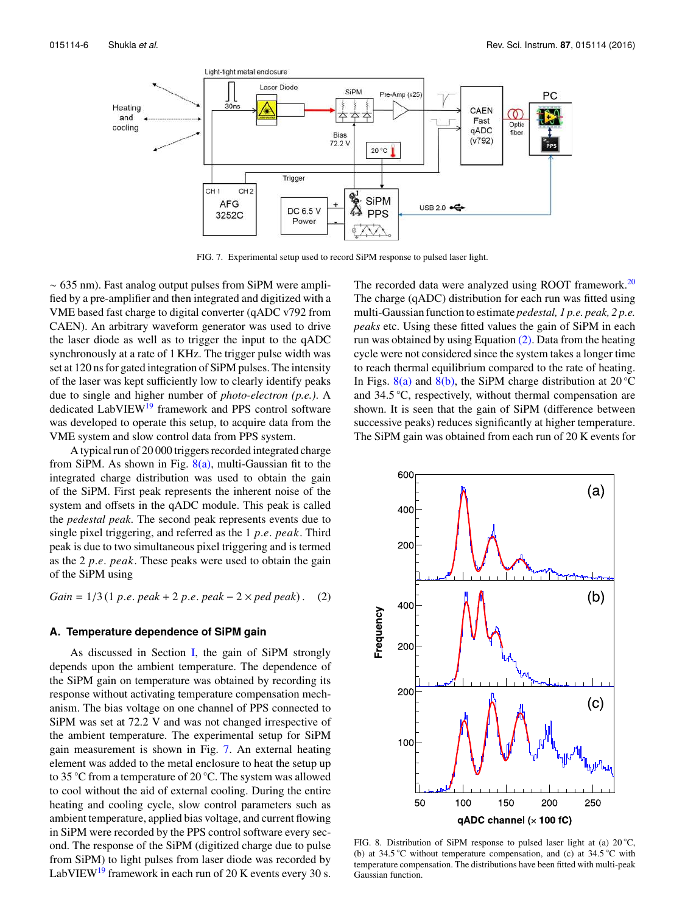

FIG. 7. Experimental setup used to record SiPM response to pulsed laser light.

∼ 635 nm). Fast analog output pulses from SiPM were amplified by a pre-amplifier and then integrated and digitized with a VME based fast charge to digital converter (qADC v792 from CAEN). An arbitrary waveform generator was used to drive the laser diode as well as to trigger the input to the qADC synchronously at a rate of 1 KHz. The trigger pulse width was set at 120 ns for gated integration of SiPM pulses. The intensity of the laser was kept sufficiently low to clearly identify peaks due to single and higher number of *photo-electron (p.e.)*. A dedicated LabVIEW<sup>19</sup> framework and PPS control software was developed to operate this setup, to acquire data from the VME system and slow control data from PPS system.

A typical run of 20 000 triggers recorded integrated charge from SiPM. As shown in Fig.  $8(a)$ , multi-Gaussian fit to the integrated charge distribution was used to obtain the gain of the SiPM. First peak represents the inherent noise of the system and offsets in the qADC module. This peak is called the *pedestal peak*. The second peak represents events due to single pixel triggering, and referred as the 1 *p*.*e*. *peak*. Third peak is due to two simultaneous pixel triggering and is termed as the 2 *p*.*e*. *peak*. These peaks were used to obtain the gain of the SiPM using

*Gain* = 1/3 (1 *p*.*e*. *peak* + 2 *p*.*e*. *peak* − 2 × *ped peak*) . (2)

### **A. Temperature dependence of SiPM gain**

As discussed in Section I, the gain of SiPM strongly depends upon the ambient temperature. The dependence of the SiPM gain on temperature was obtained by recording its response without activating temperature compensation mechanism. The bias voltage on one channel of PPS connected to SiPM was set at 72.2 V and was not changed irrespective of the ambient temperature. The experimental setup for SiPM gain measurement is shown in Fig. 7. An external heating element was added to the metal enclosure to heat the setup up to 35 ◦C from a temperature of 20 ◦C. The system was allowed to cool without the aid of external cooling. During the entire heating and cooling cycle, slow control parameters such as ambient temperature, applied bias voltage, and current flowing in SiPM were recorded by the PPS control software every second. The response of the SiPM (digitized charge due to pulse from SiPM) to light pulses from laser diode was recorded by LabVIEW<sup>19</sup> framework in each run of 20 K events every 30 s.

The recorded data were analyzed using ROOT framework.<sup>20</sup> The charge (qADC) distribution for each run was fitted using multi-Gaussian function to estimate *pedestal, 1 p.e. peak, 2 p.e. peaks* etc. Using these fitted values the gain of SiPM in each run was obtained by using Equation (2). Data from the heating cycle were not considered since the system takes a longer time to reach thermal equilibrium compared to the rate of heating. In Figs. 8(a) and 8(b), the SiPM charge distribution at 20  $\degree$ C and 34.5 ◦C, respectively, without thermal compensation are shown. It is seen that the gain of SiPM (difference between successive peaks) reduces significantly at higher temperature. The SiPM gain was obtained from each run of 20 K events for



FIG. 8. Distribution of SiPM response to pulsed laser light at (a)  $20^{\circ}$ C, (b) at 34.5 °C without temperature compensation, and (c) at 34.5 °C with temperature compensation. The distributions have been fitted with multi-peak Gaussian function.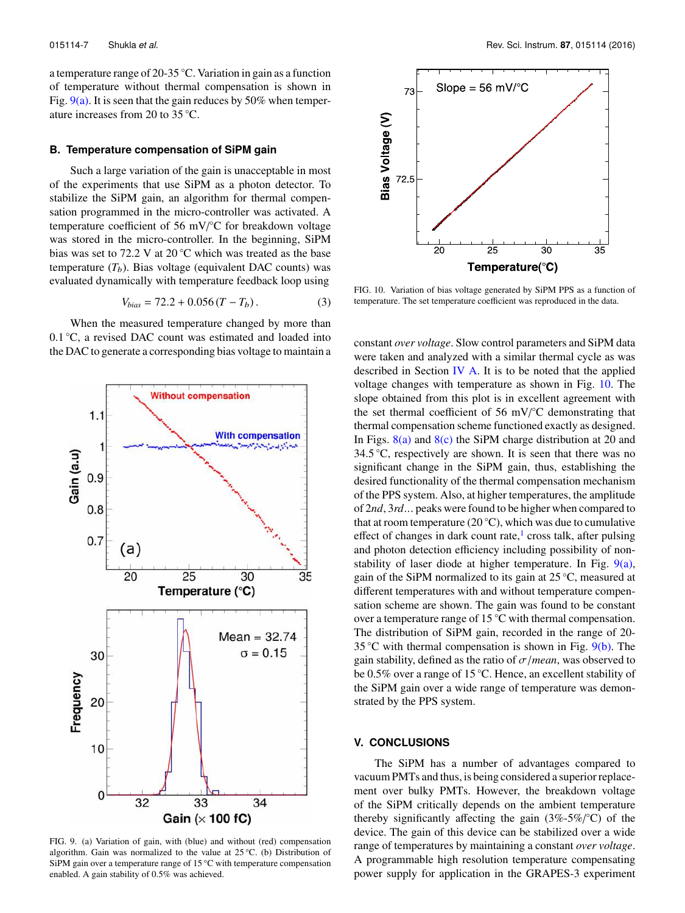a temperature range of 20-35 ◦C. Variation in gain as a function of temperature without thermal compensation is shown in Fig.  $9(a)$ . It is seen that the gain reduces by 50% when temperature increases from 20 to 35 ◦C.

#### **B. Temperature compensation of SiPM gain**

Such a large variation of the gain is unacceptable in most of the experiments that use SiPM as a photon detector. To stabilize the SiPM gain, an algorithm for thermal compensation programmed in the micro-controller was activated. A temperature coefficient of 56 mV/°C for breakdown voltage was stored in the micro-controller. In the beginning, SiPM bias was set to 72.2 V at 20 ◦C which was treated as the base temperature  $(T_b)$ . Bias voltage (equivalent DAC counts) was evaluated dynamically with temperature feedback loop using

$$
V_{bias} = 72.2 + 0.056 (T - T_b). \tag{3}
$$

When the measured temperature changed by more than 0.1 ◦C, a revised DAC count was estimated and loaded into the DAC to generate a corresponding bias voltage to maintain a



FIG. 9. (a) Variation of gain, with (blue) and without (red) compensation algorithm. Gain was normalized to the value at  $25^{\circ}$ C. (b) Distribution of SiPM gain over a temperature range of 15 $°C$  with temperature compensation enabled. A gain stability of 0.5% was achieved.



FIG. 10. Variation of bias voltage generated by SiPM PPS as a function of temperature. The set temperature coefficient was reproduced in the data.

constant *over voltage*. Slow control parameters and SiPM data were taken and analyzed with a similar thermal cycle as was described in Section IV A. It is to be noted that the applied voltage changes with temperature as shown in Fig. 10. The slope obtained from this plot is in excellent agreement with the set thermal coefficient of 56 mV/°C demonstrating that thermal compensation scheme functioned exactly as designed. In Figs.  $8(a)$  and  $8(c)$  the SiPM charge distribution at 20 and 34.5  $\degree$ C, respectively are shown. It is seen that there was no significant change in the SiPM gain, thus, establishing the desired functionality of the thermal compensation mechanism of the PPS system. Also, at higher temperatures, the amplitude of 2*nd*, 3*rd*... peaks were found to be higher when compared to that at room temperature (20 $°C$ ), which was due to cumulative effect of changes in dark count rate,<sup>1</sup> cross talk, after pulsing and photon detection efficiency including possibility of nonstability of laser diode at higher temperature. In Fig. 9(a), gain of the SiPM normalized to its gain at  $25^{\circ}$ C, measured at different temperatures with and without temperature compensation scheme are shown. The gain was found to be constant over a temperature range of 15 ◦C with thermal compensation. The distribution of SiPM gain, recorded in the range of 20- 35 °C with thermal compensation is shown in Fig.  $9(b)$ . The gain stability, defined as the ratio of  $\sigma$ /*mean*, was observed to be 0.5% over a range of 15 ◦C. Hence, an excellent stability of the SiPM gain over a wide range of temperature was demonstrated by the PPS system.

#### **V. CONCLUSIONS**

The SiPM has a number of advantages compared to vacuum PMTs and thus, is being considered a superior replacement over bulky PMTs. However, the breakdown voltage of the SiPM critically depends on the ambient temperature thereby significantly affecting the gain  $(3\% - 5\%)^{\circ}C$  of the device. The gain of this device can be stabilized over a wide range of temperatures by maintaining a constant *over voltage*. A programmable high resolution temperature compensating power supply for application in the GRAPES-3 experiment